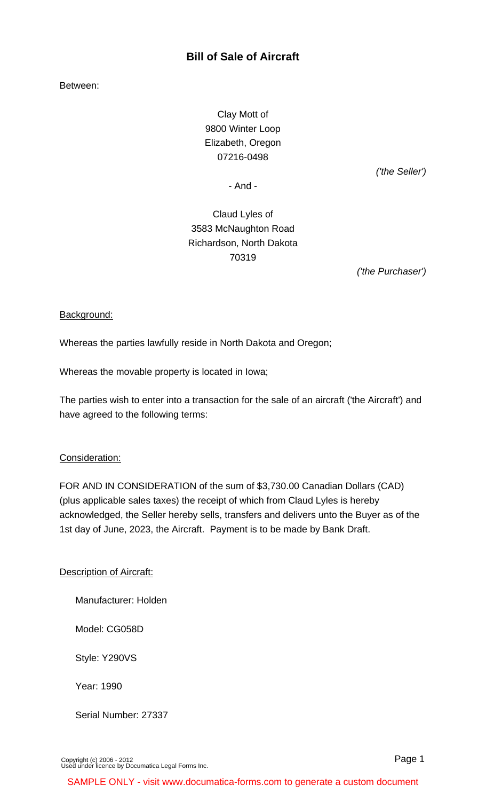# **Bill of Sale of Aircraft**

Between:

Clay Mott of 9800 Winter Loop Elizabeth, Oregon 07216-0498

('the Seller')

- And -

Claud Lyles of 3583 McNaughton Road Richardson, North Dakota 70319

('the Purchaser')

#### Background:

Whereas the parties lawfully reside in North Dakota and Oregon;

Whereas the movable property is located in Iowa;

The parties wish to enter into a transaction for the sale of an aircraft ('the Aircraft') and have agreed to the following terms:

#### Consideration:

FOR AND IN CONSIDERATION of the sum of \$3,730.00 Canadian Dollars (CAD) (plus applicable sales taxes) the receipt of which from Claud Lyles is hereby acknowledged, the Seller hereby sells, transfers and delivers unto the Buyer as of the 1st day of June, 2023, the Aircraft. Payment is to be made by Bank Draft.

#### Description of Aircraft:

Manufacturer: Holden

Model: CG058D

Style: Y290VS

Year: 1990

Serial Number: 27337

[Copyright \(c\) 2006 - 2012](http://www.documatica-forms.com) [Used under licence by Documatica Legal Forms Inc.](http://www.documatica-forms.com) Page 1

SAMPLE ONLY - visit www.documatica-forms.com to generate a custom document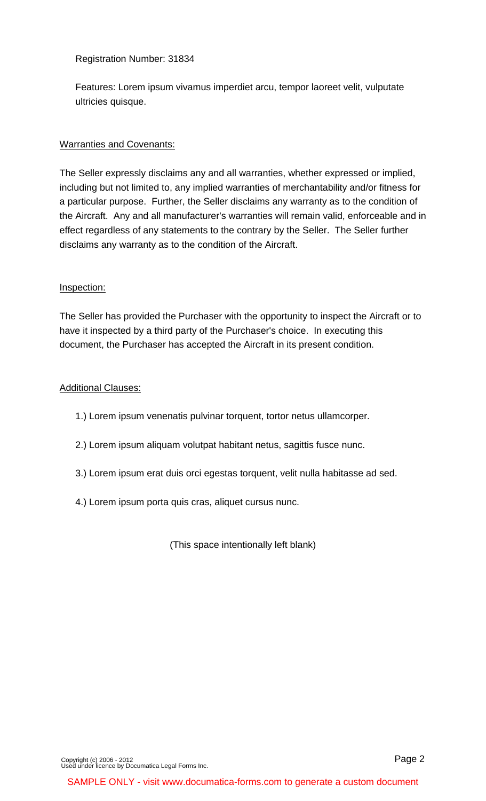### Registration Number: 31834

Features: Lorem ipsum vivamus imperdiet arcu, tempor laoreet velit, vulputate ultricies quisque.

# Warranties and Covenants:

The Seller expressly disclaims any and all warranties, whether expressed or implied, including but not limited to, any implied warranties of merchantability and/or fitness for a particular purpose. Further, the Seller disclaims any warranty as to the condition of the Aircraft. Any and all manufacturer's warranties will remain valid, enforceable and in effect regardless of any statements to the contrary by the Seller. The Seller further disclaims any warranty as to the condition of the Aircraft.

# Inspection:

The Seller has provided the Purchaser with the opportunity to inspect the Aircraft or to have it inspected by a third party of the Purchaser's choice. In executing this document, the Purchaser has accepted the Aircraft in its present condition.

# Additional Clauses:

- 1.) Lorem ipsum venenatis pulvinar torquent, tortor netus ullamcorper.
- 2.) Lorem ipsum aliquam volutpat habitant netus, sagittis fusce nunc.
- 3.) Lorem ipsum erat duis orci egestas torquent, velit nulla habitasse ad sed.
- 4.) Lorem ipsum porta quis cras, aliquet cursus nunc.

(This space intentionally left blank)